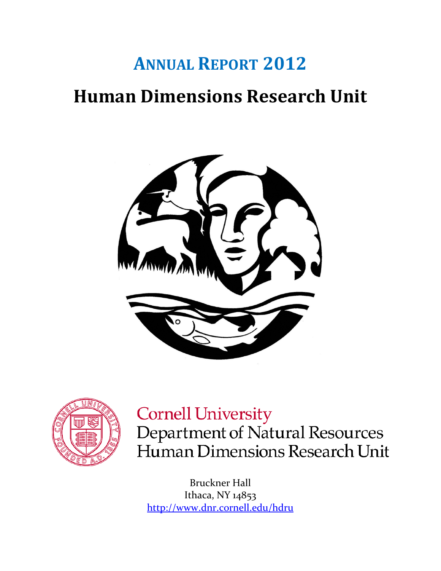# **ANNUAL REPORT 2012 Human Dimensions Research Unit**





# **Cornell University**

Department of Natural Resources Human Dimensions Research Unit

Bruckner Hall Ithaca, NY 14853 <http://www.dnr.cornell.edu/hdru>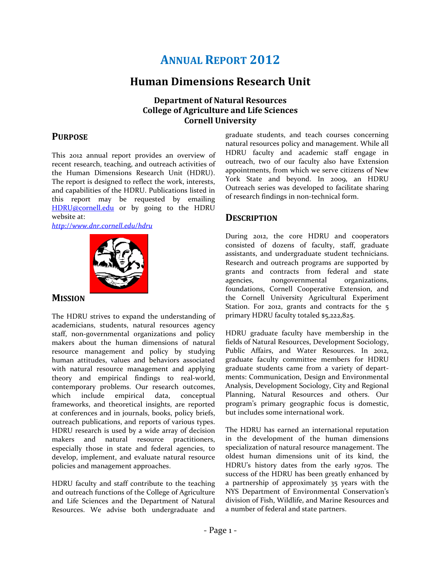# **ANNUAL REPORT 2012**

# **Human Dimensions Research Unit**

#### **Department of Natural Resources College of Agriculture and Life Sciences Cornell University**

### **PURPOSE**

This 2012 annual report provides an overview of recent research, teaching, and outreach activities of the Human Dimensions Research Unit (HDRU). The report is designed to reflect the work, interests, and capabilities of the HDRU. Publications listed in this report may be requested by emailing [HDRU@cornell.edu](mailto:HDRU@cornell.edu) or by going to the HDRU website at:

*<http://www.dnr.cornell.edu/hdru>*



#### **MISSION**

The HDRU strives to expand the understanding of academicians, students, natural resources agency staff, non-governmental organizations and policy makers about the human dimensions of natural resource management and policy by studying human attitudes, values and behaviors associated with natural resource management and applying theory and empirical findings to real-world, contemporary problems. Our research outcomes, which include empirical data, conceptual frameworks, and theoretical insights, are reported at conferences and in journals, books, policy briefs, outreach publications, and reports of various types. HDRU research is used by a wide array of decision makers and natural resource practitioners, especially those in state and federal agencies, to develop, implement, and evaluate natural resource policies and management approaches.

HDRU faculty and staff contribute to the teaching and outreach functions of the College of Agriculture and Life Sciences and the Department of Natural Resources. We advise both undergraduate and graduate students, and teach courses concerning natural resources policy and management. While all HDRU faculty and academic staff engage in outreach, two of our faculty also have Extension appointments, from which we serve citizens of New York State and beyond. In 2009, an HDRU Outreach series was developed to facilitate sharing of research findings in non-technical form.

### **DESCRIPTION**

During 2012, the core HDRU and cooperators consisted of dozens of faculty, staff, graduate assistants, and undergraduate student technicians. Research and outreach programs are supported by grants and contracts from federal and state agencies, nongovernmental organizations, foundations, Cornell Cooperative Extension, and the Cornell University Agricultural Experiment Station. For 2012, grants and contracts for the 5 primary HDRU faculty totaled \$5,222,825.

HDRU graduate faculty have membership in the fields of Natural Resources, Development Sociology, Public Affairs, and Water Resources. In 2012, graduate faculty committee members for HDRU graduate students came from a variety of departments: Communication, Design and Environmental Analysis, Development Sociology, City and Regional Planning, Natural Resources and others. Our program's primary geographic focus is domestic, but includes some international work.

The HDRU has earned an international reputation in the development of the human dimensions specialization of natural resource management. The oldest human dimensions unit of its kind, the HDRU's history dates from the early 1970s. The success of the HDRU has been greatly enhanced by a partnership of approximately 35 years with the NYS Department of Environmental Conservation's division of Fish, Wildlife, and Marine Resources and a number of federal and state partners.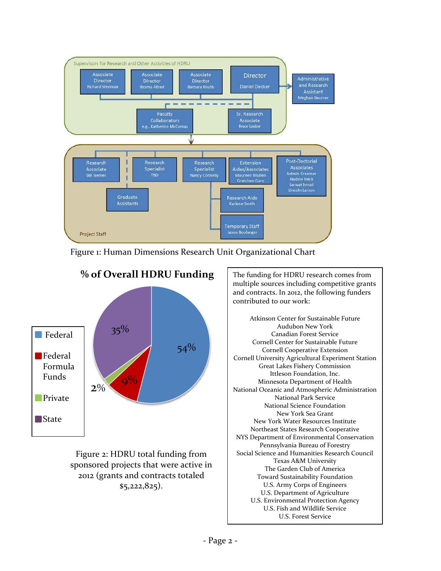

Figure 1: Human Dimensions Research Unit Organizational Chart



Figure 2: HDRU total funding from sponsored projects that were active in 2012 (grants and contracts totaled \$5,222,825).

multiple sources including competitive grants and contracts. In 2012, the following funders contributed to our work:

Atkinson Center for Sustainable Future Audubon New York Canadian Forest Service Cornell Center for Sustainable Future Cornell Cooperative Extension Cornell University Agricultural Experiment Station Great Lakes Fishery Commission Ittleson Foundation, Inc. Minnesota Department of Health National Oceanic and Atmospheric Administration National Park Service National Science Foundation New York Sea Grant New York Water Resources Institute Northeast States Research Cooperative NYS Department of Environmental Conservation Pennsylvania Bureau of Forestry Social Science and Humanities Research Council Texas A&M University The Garden Club of America Toward Sustainability Foundation U.S. Army Corps of Engineers U.S. Department of Agriculture U.S. Environmental Protection Agency U.S. Fish and Wildlife Service U.S. Forest Service

j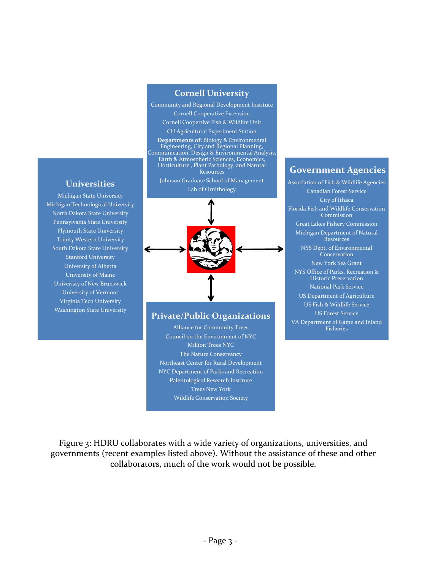#### **Cornell University**

Community and Regional Development Institute Cornell Cooperative Extension Cornell Coopertive Fish & Wildlife Unit CU Agricultural Experiment Station

**Departments of:** Biology & Environmental Engineering, City and Regional Planning, Communication, Design & Environmental Analysis, Earth & Atmospheric Sciences, Economics, Horticulture , Plant Pathology, and Natural Resources

Johnson Graduate School of Management Lab of Ornithology



#### **Private/Public Organizations**

Alliance for Community Trees Council on the Environment of NYC Million Trees NYC The Nature Conservancy Northeast Center for Rural Development NYC Department of Parks and Recreation Palentological Research Institute Trees New York Wildlife Conservation Society

#### **Government Agencies**

Association of Fish & Wildlife Agencies Canadian Forest Service City of Ithaca Florida Fish and Wildlife Conservation Commission Great Lakes Fishery Commission Michigan Department of Natural Resources NYS Dept. of Environmental Conservation New York Sea Grant NYS Office of Parks, Recreation & Historic Preservation National Park Service US Department of Agriculture US Fish & Wildlife Service US Forest Service VA Department of Game and Inland Fisheries

#### **Universities**

Michigan State University Michigan Technological University North Dakota State University Pennsylvania State University Plymouth State University Trinity Western University South Dakota State University Stanford University University of Alberta University of Maine Univeristy of New Brunswick University of Vermont Virginia Tech University Washington State University

Figure 3: HDRU collaborates with a wide variety of organizations, universities, and governments (recent examples listed above). Without the assistance of these and other collaborators, much of the work would not be possible.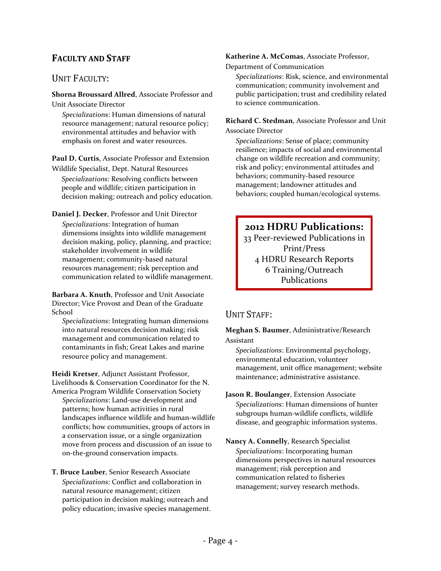### **FACULTY AND STAFF**

### UNIT FACULTY:

**Shorna Broussard Allred**, Associate Professor and Unit Associate Director

*Specializations*: Human dimensions of natural resource management; natural resource policy; environmental attitudes and behavior with emphasis on forest and water resources.

**Paul D. Curtis**, Associate Professor and Extension Wildlife Specialist, Dept. Natural Resources *Specializations*: Resolving conflicts between people and wildlife; citizen participation in decision making; outreach and policy education.

**Daniel J. Decker**, Professor and Unit Director *Specializations*: Integration of human dimensions insights into wildlife management decision making, policy, planning, and practice; stakeholder involvement in wildlife management; community-based natural resources management; risk perception and communication related to wildlife management.

**Barbara A. Knuth**, Professor and Unit Associate Director; Vice Provost and Dean of the Graduate School

*Specializations*: Integrating human dimensions into natural resources decision making; risk management and communication related to contaminants in fish; Great Lakes and marine resource policy and management.

**Heidi Kretser**, Adjunct Assistant Professor, Livelihoods & Conservation Coordinator for the N. America Program Wildlife Conservation Society *Specializations*: Land-use development and patterns; how human activities in rural landscapes influence wildlife and human-wildlife conflicts; how communities, groups of actors in a conservation issue, or a single organization move from process and discussion of an issue to on-the-ground conservation impacts.

**T. Bruce Lauber**, Senior Research Associate *Specializations*: Conflict and collaboration in natural resource management; citizen participation in decision making; outreach and policy education; invasive species management. **Katherine A. McComas**, Associate Professor,

Department of Communication

*Specializations*: Risk, science, and environmental communication; community involvement and public participation; trust and credibility related to science communication.

**Richard C. Stedman**, Associate Professor and Unit Associate Director

*Specializations*: Sense of place; community resilience; impacts of social and environmental change on wildlife recreation and community; risk and policy; environmental attitudes and behaviors; community-based resource management; landowner attitudes and behaviors; coupled human/ecological systems.

# **2012 HDRU Publications:**

33 Peer-reviewed Publications in Print/Press 4 HDRU Research Reports 6 Training/Outreach Publications

### UNIT STAFF:

**Meghan S. Baumer**, Administrative/Research Assistant

*Specializations*: Environmental psychology, environmental education, volunteer management, unit office management; website maintenance; administrative assistance.

**Jason R. Boulanger**, Extension Associate *Specializations*: Human dimensions of hunter subgroups human-wildlife conflicts, wildlife disease, and geographic information systems.

**Nancy A. Connelly**, Research Specialist *Specializations*: Incorporating human dimensions perspectives in natural resources management; risk perception and communication related to fisheries management; survey research methods.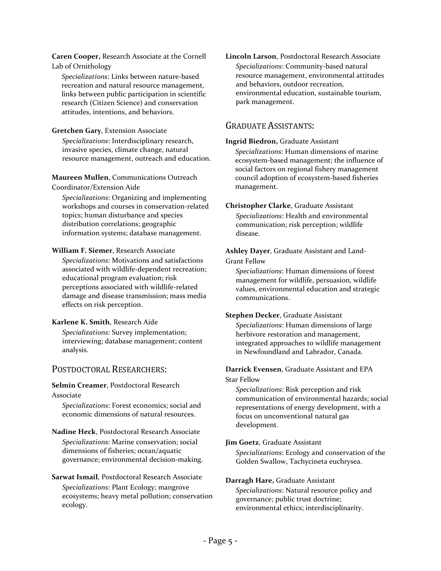**Caren Cooper,** Research Associate at the Cornell Lab of Ornithology

*Specializations*: Links between nature-based recreation and natural resource management, links between public participation in scientific research (Citizen Science) and conservation attitudes, intentions, and behaviors.

#### **Gretchen Gary**, Extension Associate

*Specializations*: Interdisciplinary research, invasive species, climate change, natural resource management, outreach and education.

**Maureen Mullen**, Communications Outreach Coordinator/Extension Aide

*Specializations*: Organizing and implementing workshops and courses in conservation-related topics; human disturbance and species distribution correlations; geographic information systems; database management.

#### **William F. Siemer**, Research Associate

*Specializations*: Motivations and satisfactions associated with wildlife-dependent recreation; educational program evaluation; risk perceptions associated with wildlife-related damage and disease transmission; mass media effects on risk perception.

#### **Karlene K. Smith**, Research Aide

*Specializations*: Survey implementation; interviewing; database management; content analysis.

#### POSTDOCTORAL RESEARCHERS:

#### **Selmin Creamer**, Postdoctoral Research

#### Associate

*Specializations*: Forest economics; social and economic dimensions of natural resources.

#### **Nadine Heck**, Postdoctoral Research Associate *Specializations*: Marine conservation; social dimensions of fisheries; ocean/aquatic governance; environmental decision-making.

#### **Sarwat Ismail**, Postdoctoral Research Associate *Specializations*: Plant Ecology; mangrove ecosystems; heavy metal pollution; conservation ecology.

**Lincoln Larson**, Postdoctoral Research Associate *Specializations*: Community-based natural resource management, environmental attitudes and behaviors, outdoor recreation, environmental education, sustainable tourism, park management.

#### GRADUATE ASSISTANTS:

#### **Ingrid Biedron,** Graduate Assistant

*Specializations*: Human dimensions of marine ecosystem-based management; the influence of social factors on regional fishery management council adoption of ecosystem-based fisheries management.

#### **Christopher Clarke**, Graduate Assistant

*Specializations*: Health and environmental communication; risk perception; wildlife disease.

#### **Ashley Dayer**, Graduate Assistant and Land-Grant Fellow

*Specializations*: Human dimensions of forest management for wildlife, persuasion, wildlife values, environmental education and strategic communications.

#### **Stephen Decker**, Graduate Assistant

*Specializations*: Human dimensions of large herbivore restoration and management, integrated approaches to wildlife management in Newfoundland and Labrador, Canada.

#### **Darrick Evensen**, Graduate Assistant and EPA Star Fellow

*Specializations*: Risk perception and risk communication of environmental hazards; social representations of energy development, with a focus on unconventional natural gas development.

#### **Jim Goetz**, Graduate Assistant

*Specializations*: Ecology and conservation of the Golden Swallow, Tachycineta euchrysea.

#### **Darragh Hare,** Graduate Assistant

*Specializations*: Natural resource policy and governance; public trust doctrine; environmental ethics; interdisciplinarity.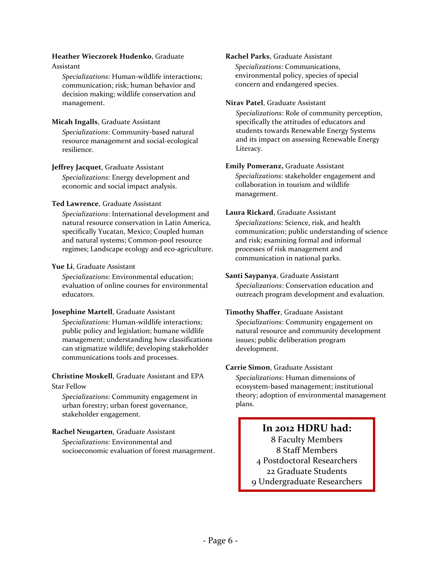#### **Heather Wieczorek Hudenko**, Graduate

#### Assistant

*Specializations*: Human-wildlife interactions; communication; risk; human behavior and decision making; wildlife conservation and management.

#### **Micah Ingalls**, Graduate Assistant

*Specializations*: Community-based natural resource management and social-ecological resilience.

#### **Jeffrey Jacquet**, Graduate Assistant

*Specializations*: Energy development and economic and social impact analysis.

#### **Ted Lawrence**, Graduate Assistant

*Specializations*: International development and natural resource conservation in Latin America, specifically Yucatan, Mexico; Coupled human and natural systems; Common-pool resource regimes; Landscape ecology and eco-agriculture.

#### **Yue Li**, Graduate Assistant

*Specializations*: Environmental education; evaluation of online courses for environmental educators.

#### **Josephine Martell**, Graduate Assistant

*Specializations*: Human-wildlife interactions; public policy and legislation; humane wildlife management; understanding how classifications can stigmatize wildlife; developing stakeholder communications tools and processes.

#### **Christine Moskell**, Graduate Assistant and EPA Star Fellow

*Specializations*: Community engagement in urban forestry; urban forest governance, stakeholder engagement.

### **Rachel Neugarten**, Graduate Assistant

*Specializations*: Environmental and socioeconomic evaluation of forest management.

#### **Rachel Parks**, Graduate Assistant

*Specializations*: Communications, environmental policy, species of special concern and endangered species.

#### **Nirav Patel**, Graduate Assistant

*Specializations*: Role of community perception, specifically the attitudes of educators and students towards Renewable Energy Systems and its impact on assessing Renewable Energy Literacy.

#### **Emily Pomeranz,** Graduate Assistant

*Specializations*: stakeholder engagement and collaboration in tourism and wildlife management.

#### **Laura Rickard**, Graduate Assistant

*Specializations*: Science, risk, and health communication; public understanding of science and risk; examining formal and informal processes of risk management and communication in national parks.

#### **Santi Saypanya**, Graduate Assistant

*Specializations*: Conservation education and outreach program development and evaluation.

#### **Timothy Shaffer**, Graduate Assistant

*Specializations*: Community engagement on natural resource and community development issues; public deliberation program development.

#### **Carrie Simon**, Graduate Assistant

*Specializations*: Human dimensions of ecosystem-based management; institutional theory; adoption of environmental management plans.

### **In 2012 HDRU had:**

8 Faculty Members 8 Staff Members 4 Postdoctoral Researchers 22 Graduate Students 9 Undergraduate Researchers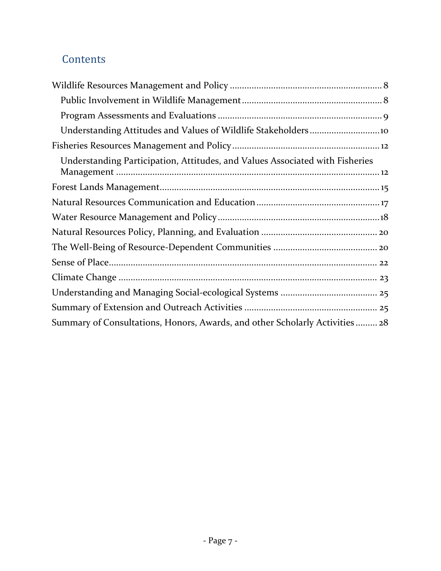# **Contents**

| Understanding Participation, Attitudes, and Values Associated with Fisheries |
|------------------------------------------------------------------------------|
|                                                                              |
|                                                                              |
|                                                                              |
|                                                                              |
|                                                                              |
|                                                                              |
|                                                                              |
|                                                                              |
|                                                                              |
| Summary of Consultations, Honors, Awards, and other Scholarly Activities  28 |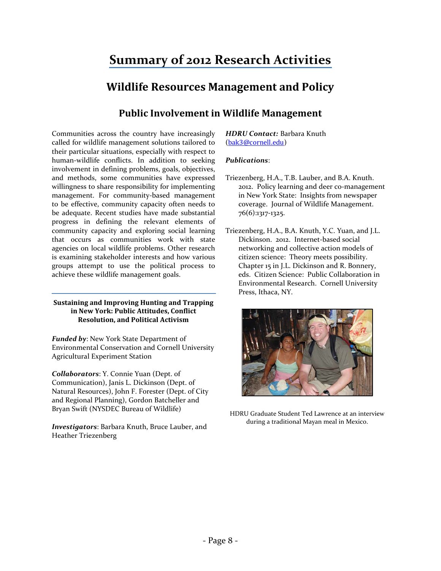# **Summary of 2012 Research Activities**

# **Wildlife Resources Management and Policy**

### **Public Involvement in Wildlife Management**

<span id="page-8-1"></span><span id="page-8-0"></span>Communities across the country have increasingly called for wildlife management solutions tailored to their particular situations, especially with respect to human-wildlife conflicts. In addition to seeking involvement in defining problems, goals, objectives, and methods, some communities have expressed willingness to share responsibility for implementing management. For community-based management to be effective, community capacity often needs to be adequate. Recent studies have made substantial progress in defining the relevant elements of community capacity and exploring social learning that occurs as communities work with state agencies on local wildlife problems. Other research is examining stakeholder interests and how various groups attempt to use the political process to achieve these wildlife management goals.

#### **Sustaining and Improving Hunting and Trapping in New York: Public Attitudes, Conflict Resolution, and Political Activism**

*Funded by*: New York State Department of Environmental Conservation and Cornell University Agricultural Experiment Station

*Collaborators*: Y. Connie Yuan (Dept. of Communication), Janis L. Dickinson (Dept. of Natural Resources), John F. Forester (Dept. of City and Regional Planning), Gordon Batcheller and Bryan Swift (NYSDEC Bureau of Wildlife)

*Investigators*: Barbara Knuth, Bruce Lauber, and Heather Triezenberg

*HDRU Contact:* Barbara Knuth ([bak3@cornell.edu](mailto:bak3@cornell.edu))

#### *Publications*:

- Triezenberg, H.A., T.B. Lauber, and B.A. Knuth. 2012. Policy learning and deer co-management in New York State: Insights from newspaper coverage. Journal of Wildlife Management. 76(6):1317-1325.
- Triezenberg, H.A., B.A. Knuth, Y.C. Yuan, and J.L. Dickinson. 2012. Internet-based social networking and collective action models of citizen science: Theory meets possibility. Chapter 15 in J.L. Dickinson and R. Bonnery, eds. Citizen Science: Public Collaboration in Environmental Research. Cornell University Press, Ithaca, NY.



HDRU Graduate Student Ted Lawrence at an interview during a traditional Mayan meal in Mexico.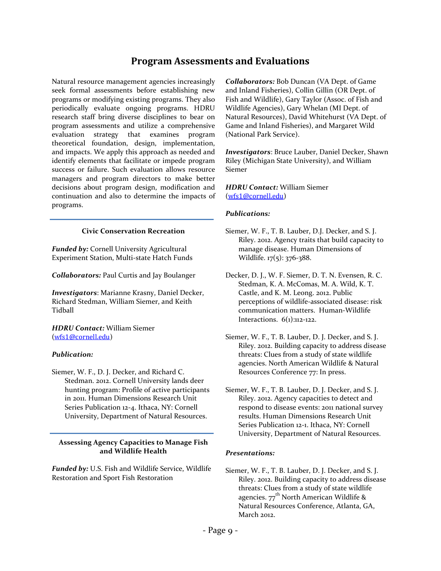### **Program Assessments and Evaluations**

<span id="page-9-0"></span>Natural resource management agencies increasingly seek formal assessments before establishing new programs or modifying existing programs. They also periodically evaluate ongoing programs. HDRU research staff bring diverse disciplines to bear on program assessments and utilize a comprehensive evaluation strategy that examines program theoretical foundation, design, implementation, and impacts. We apply this approach as needed and identify elements that facilitate or impede program success or failure. Such evaluation allows resource managers and program directors to make better decisions about program design, modification and continuation and also to determine the impacts of programs.

#### **Civic Conservation Recreation**

*Funded by:* Cornell University Agricultural Experiment Station, Multi-state Hatch Funds

*Collaborators:* Paul Curtis and Jay Boulanger

*Investigators*: Marianne Krasny, Daniel Decker, Richard Stedman, William Siemer, and Keith Tidball

*HDRU Contact:* William Siemer ([wfs1@cornell.edu](mailto:wfs1@cornell.edu))

#### *Publication:*

Siemer, W. F., D. J. Decker, and Richard C. Stedman. 2012. Cornell University lands deer hunting program: Profile of active participants in 2011. Human Dimensions Research Unit Series Publication 12-4. Ithaca, NY: Cornell University, Department of Natural Resources.

#### **Assessing Agency Capacities to Manage Fish and Wildlife Health**

*Funded by:* U.S. Fish and Wildlife Service, Wildlife Restoration and Sport Fish Restoration

*Collaborators:* Bob Duncan (VA Dept. of Game and Inland Fisheries), Collin Gillin (OR Dept. of Fish and Wildlife), Gary Taylor (Assoc. of Fish and Wildlife Agencies), Gary Whelan (MI Dept. of Natural Resources), David Whitehurst (VA Dept. of Game and Inland Fisheries), and Margaret Wild (National Park Service).

*Investigators*: Bruce Lauber, Daniel Decker, Shawn Riley (Michigan State University), and William Siemer

*HDRU Contact:* William Siemer ([wfs1@cornell.edu](mailto:wfs1@cornell.edu))

#### *Publications:*

- Siemer, W. F., T. B. Lauber, D.J. Decker, and S. J. Riley. 2012. Agency traits that build capacity to manage disease. Human Dimensions of Wildlife. 17(5): 376-388.
- Decker, D. J., W. F. Siemer, D. T. N. Evensen, R. C. Stedman, K. A. McComas, M. A. Wild, K. T. Castle, and K. M. Leong. 2012. Public perceptions of wildlife-associated disease: risk communication matters. Human-Wildlife Interactions. 6(1):112-122.
- Siemer, W. F., T. B. Lauber, D. J. Decker, and S. J. Riley. 2012. Building capacity to address disease threats: Clues from a study of state wildlife agencies. North American Wildlife & Natural Resources Conference 77: In press.
- Siemer, W. F., T. B. Lauber, D. J. Decker, and S. J. Riley. 2012. Agency capacities to detect and respond to disease events: 2011 national survey results. Human Dimensions Research Unit Series Publication 12-1. Ithaca, NY: Cornell University, Department of Natural Resources.

#### *Presentations:*

Siemer, W. F., T. B. Lauber, D. J. Decker, and S. J. Riley. 2012. Building capacity to address disease threats: Clues from a study of state wildlife agencies.  $77^{\text{th}}$  North American Wildlife & Natural Resources Conference, Atlanta, GA, March 2012.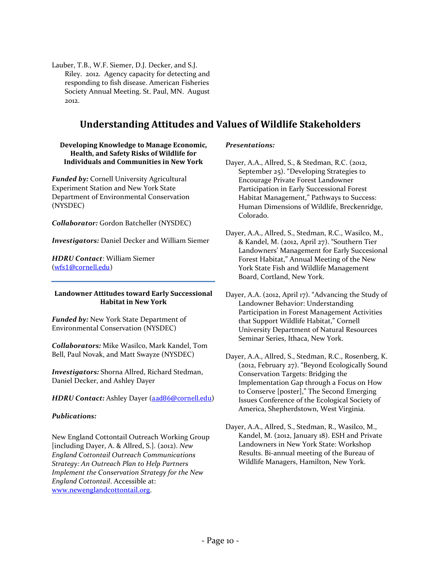Lauber, T.B., W.F. Siemer, D.J. Decker, and S.J. Riley. 2012. Agency capacity for detecting and responding to fish disease. American Fisheries Society Annual Meeting. St. Paul, MN. August 2012.

### **Understanding Attitudes and Values of Wildlife Stakeholders**

#### <span id="page-10-0"></span>**Developing Knowledge to Manage Economic, Health, and Safety Risks of Wildlife for Individuals and Communities in New York**

*Funded by:* Cornell University Agricultural Experiment Station and New York State Department of Environmental Conservation (NYSDEC)

*Collaborator:* Gordon Batcheller (NYSDEC)

*Investigators:* Daniel Decker and William Siemer

*HDRU Contact*: William Siemer ([wfs1@cornell.edu](mailto:wfs1@cornell.edu))

#### **Landowner Attitudes toward Early Successional Habitat in New York**

*Funded by:* New York State Department of Environmental Conservation (NYSDEC)

*Collaborators:* Mike Wasilco, Mark Kandel, Tom Bell, Paul Novak, and Matt Swayze (NYSDEC)

*Investigators:* Shorna Allred, Richard Stedman, Daniel Decker, and Ashley Dayer

*HDRU Contact:* Ashley Dayer ([aad86@cornell.edu](mailto:aad86@cornell.edu))

#### *Publications:*

New England Cottontail Outreach Working Group [including Dayer, A. & Allred, S.]. (2012). *New England Cottontail Outreach Communications Strategy: An Outreach Plan to Help Partners Implement the Conservation Strategy for the New England Cottontail*. Accessible at: [www.newenglandcottontail.org.](http://www.newenglandcottontail.org/) 

#### *Presentations:*

Dayer, A.A., Allred, S., & Stedman, R.C. (2012, September 25). "Developing Strategies to Encourage Private Forest Landowner Participation in Early Successional Forest Habitat Management," Pathways to Success: Human Dimensions of Wildlife, Breckenridge, Colorado.

Dayer, A.A., Allred, S., Stedman, R.C., Wasilco, M., & Kandel, M. (2012, April 27). "Southern Tier Landowners' Management for Early Succesional Forest Habitat," Annual Meeting of the New York State Fish and Wildlife Management Board, Cortland, New York.

Dayer, A.A. (2012, April 17). "Advancing the Study of Landowner Behavior: Understanding Participation in Forest Management Activities that Support Wildlife Habitat," Cornell University Department of Natural Resources Seminar Series, Ithaca, New York.

Dayer, A.A., Allred, S., Stedman, R.C., Rosenberg, K. (2012, February 27). "Beyond Ecologically Sound Conservation Targets: Bridging the Implementation Gap through a Focus on How to Conserve [poster]," The Second Emerging Issues Conference of the Ecological Society of America, Shepherdstown, West Virginia.

Dayer, A.A., Allred, S., Stedman, R., Wasilco, M., Kandel, M. (2012, January 18). ESH and Private Landowners in New York State: Workshop Results. Bi-annual meeting of the Bureau of Wildlife Managers, Hamilton, New York.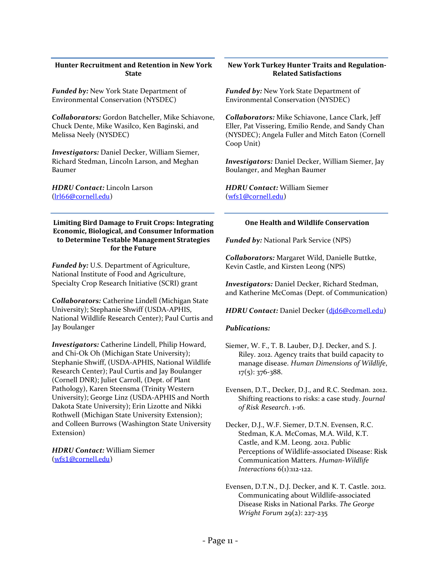#### **Hunter Recruitment and Retention in New York State**

*Funded by:* New York State Department of Environmental Conservation (NYSDEC)

*Collaborators:* Gordon Batcheller, Mike Schiavone, Chuck Dente, Mike Wasilco, Ken Baginski, and Melissa Neely (NYSDEC)

*Investigators:* Daniel Decker, William Siemer, Richard Stedman, Lincoln Larson, and Meghan Baumer

*HDRU Contact:* Lincoln Larson ([lrl66@cornell.edu](mailto:lrl66@cornell.edu))

#### **Limiting Bird Damage to Fruit Crops: Integrating Economic, Biological, and Consumer Information to Determine Testable Management Strategies for the Future**

*Funded by:* U.S. Department of Agriculture, National Institute of Food and Agriculture, Specialty Crop Research Initiative (SCRI) grant

*Collaborators:* Catherine Lindell (Michigan State University); Stephanie Shwiff (USDA-APHIS, National Wildlife Research Center); Paul Curtis and Jay Boulanger

*Investigators:* Catherine Lindell, Philip Howard, and Chi-Ok Oh (Michigan State University); Stephanie Shwiff, (USDA-APHIS, National Wildlife Research Center); Paul Curtis and Jay Boulanger (Cornell DNR); Juliet Carroll, (Dept. of Plant Pathology), Karen Steensma (Trinity Western University); George Linz (USDA-APHIS and North Dakota State University); Erin Lizotte and Nikki Rothwell (Michigan State University Extension); and Colleen Burrows (Washington State University Extension)

*HDRU Contact:* William Siemer ([wfs1@cornell.edu](mailto:wfs1@cornell.edu))

#### **New York Turkey Hunter Traits and Regulation-Related Satisfactions**

*Funded by:* New York State Department of Environmental Conservation (NYSDEC)

*Collaborators:* Mike Schiavone, Lance Clark, Jeff Eller, Pat Vissering, Emilio Rende, and Sandy Chan (NYSDEC); Angela Fuller and Mitch Eaton (Cornell Coop Unit)

*Investigators:* Daniel Decker, William Siemer, Jay Boulanger, and Meghan Baumer

*HDRU Contact:* William Siemer ([wfs1@cornell.edu](mailto:wfs1@cornell.edu))

#### **One Health and Wildlife Conservation**

*Funded by:* National Park Service (NPS)

*Collaborators:* Margaret Wild, Danielle Buttke, Kevin Castle, and Kirsten Leong (NPS)

*Investigators:* Daniel Decker, Richard Stedman, and Katherine McComas (Dept. of Communication)

*HDRU Contact:* Daniel Decker ([djd6@cornell.edu](mailto:djd6@cornell.edu))

#### *Publications:*

Siemer, W. F., T. B. Lauber, D.J. Decker, and S. J. Riley. 2012. Agency traits that build capacity to manage disease. *Human Dimensions of Wildlife*, 17(5): 376-388.

Evensen, D.T., Decker, D.J., and R.C. Stedman. 2012. Shifting reactions to risks: a case study. *Journal of Risk Research*. 1-16.

- Decker, D.J., W.F. Siemer, D.T.N. Evensen, R.C. Stedman, K.A. McComas, M.A. Wild, K.T. Castle, and K.M. Leong. 2012. Public Perceptions of Wildlife-associated Disease: Risk Communication Matters. *Human-Wildlife Interactions* 6(1):112-122.
- Evensen, D.T.N., D.J. Decker, and K. T. Castle. 2012. Communicating about Wildlife-associated Disease Risks in National Parks. *The George Wright Forum* 29(2): 227-235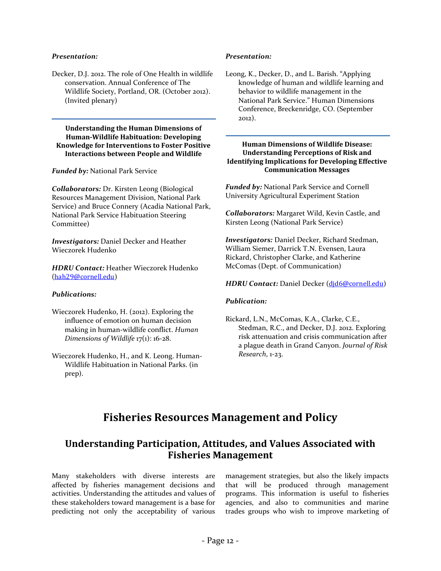#### *Presentation:*

Decker, D.J. 2012. The role of One Health in wildlife conservation. Annual Conference of The Wildlife Society, Portland, OR. (October 2012). (Invited plenary)

#### **Understanding the Human Dimensions of Human-Wildlife Habituation: Developing Knowledge for Interventions to Foster Positive Interactions between People and Wildlife**

*Funded by:* National Park Service

*Collaborators:* Dr. Kirsten Leong (Biological Resources Management Division, National Park Service) and Bruce Connery (Acadia National Park, National Park Service Habituation Steering Committee)

*Investigators:* Daniel Decker and Heather Wieczorek Hudenko

*HDRU Contact:* Heather Wieczorek Hudenko ([hah29@cornell.edu](mailto:hah29@cornell.edu))

#### *Publications:*

- Wieczorek Hudenko, H. (2012). Exploring the influence of emotion on human decision making in human-wildlife conflict. *Human Dimensions of Wildlife* 17(1): 16-28.
- <span id="page-12-0"></span>Wieczorek Hudenko, H., and K. Leong. Human-Wildlife Habituation in National Parks. (in prep).

#### *Presentation:*

Leong, K., Decker, D., and L. Barish. "Applying knowledge of human and wildlife learning and behavior to wildlife management in the National Park Service." Human Dimensions Conference, Breckenridge, CO. (September 2012).

#### **Human Dimensions of Wildlife Disease: Understanding Perceptions of Risk and Identifying Implications for Developing Effective Communication Messages**

*Funded by:* National Park Service and Cornell University Agricultural Experiment Station

*Collaborators:* Margaret Wild, Kevin Castle, and Kirsten Leong (National Park Service)

*Investigators:* Daniel Decker, Richard Stedman, William Siemer, Darrick T.N. Evensen, Laura Rickard, Christopher Clarke, and Katherine McComas (Dept. of Communication)

#### *HDRU Contact:* Daniel Decker ([djd6@cornell.edu](mailto:djd6@cornell.edu))

#### *Publication:*

Rickard, L.N., McComas, K.A., Clarke, C.E., Stedman, R.C., and Decker, D.J. 2012. Exploring risk attenuation and crisis communication after a plague death in Grand Canyon. *Journal of Risk Research*, 1-23.

# **Fisheries Resources Management and Policy**

### <span id="page-12-1"></span>**Understanding Participation, Attitudes, and Values Associated with Fisheries Management**

Many stakeholders with diverse interests are affected by fisheries management decisions and activities. Understanding the attitudes and values of these stakeholders toward management is a base for predicting not only the acceptability of various management strategies, but also the likely impacts that will be produced through management programs. This information is useful to fisheries agencies, and also to communities and marine trades groups who wish to improve marketing of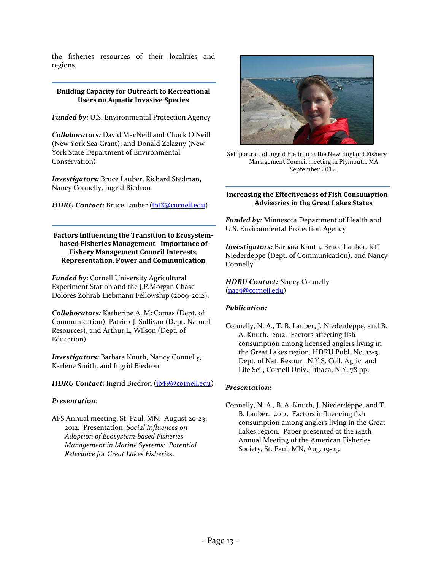the fisheries resources of their localities and regions.

#### **Building Capacity for Outreach to Recreational Users on Aquatic Invasive Species**

*Funded by:* U.S. Environmental Protection Agency

*Collaborators:* David MacNeill and Chuck O'Neill (New York Sea Grant); and Donald Zelazny (New York State Department of Environmental Conservation)

*Investigators:* Bruce Lauber, Richard Stedman, Nancy Connelly, Ingrid Biedron

*HDRU Contact: Bruce Lauber (thl3@cornell.edu)* 

**Factors Influencing the Transition to Ecosystembased Fisheries Management– Importance of Fishery Management Council Interests, Representation, Power and Communication**

*Funded by:* Cornell University Agricultural Experiment Station and the J.P.Morgan Chase Dolores Zohrab Liebmann Fellowship (2009-2012).

*Collaborators:* Katherine A. McComas (Dept. of Communication), Patrick J. Sullivan (Dept. Natural Resources), and Arthur L. Wilson (Dept. of Education)

*Investigators:* Barbara Knuth, Nancy Connelly, Karlene Smith, and Ingrid Biedron

*HDRU Contact:* Ingrid Biedron ([ib49@cornell.edu](mailto:ib49@cornell.edu))

#### *Presentation*:

AFS Annual meeting; St. Paul, MN. August 20-23, 2012. Presentation: *Social Influences on Adoption of Ecosystem-based Fisheries Management in Marine Systems: Potential Relevance for Great Lakes Fisheries*.



Self portrait of Ingrid Biedron at the New England Fishery Management Council meeting in Plymouth, MA September 2012.

#### **Increasing the Effectiveness of Fish Consumption Advisories in the Great Lakes States**

*Funded by:* Minnesota Department of Health and U.S. Environmental Protection Agency

*Investigators:* Barbara Knuth, Bruce Lauber, Jeff Niederdeppe (Dept. of Communication), and Nancy **Connelly** 

*HDRU Contact:* Nancy Connelly ([nac4@cornell.edu](mailto:nac4@cornell.edu))

#### *Publication:*

Connelly, N. A., T. B. Lauber, J. Niederdeppe, and B. A. Knuth. 2012. Factors affecting fish consumption among licensed anglers living in the Great Lakes region. HDRU Publ. No. 12-3. Dept. of Nat. Resour., N.Y.S. Coll. Agric. and Life Sci., Cornell Univ., Ithaca, N.Y. 78 pp.

#### *Presentation:*

Connelly, N. A., B. A. Knuth, J. Niederdeppe, and T. B. Lauber. 2012. Factors influencing fish consumption among anglers living in the Great Lakes region. Paper presented at the 142th Annual Meeting of the American Fisheries Society, St. Paul, MN, Aug. 19-23.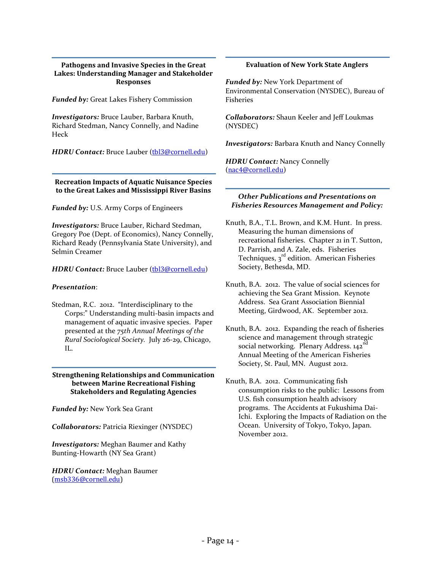#### **Pathogens and Invasive Species in the Great Lakes: Understanding Manager and Stakeholder Responses**

*Funded by:* Great Lakes Fishery Commission

*Investigators:* Bruce Lauber, Barbara Knuth, Richard Stedman, Nancy Connelly, and Nadine Heck

*HDRU Contact:* Bruce Lauber ([tbl3@cornell.edu](mailto:tbl3@cornell.edu))

**Recreation Impacts of Aquatic Nuisance Species to the Great Lakes and Mississippi River Basins**

*Funded by:* U.S. Army Corps of Engineers

*Investigators:* Bruce Lauber, Richard Stedman, Gregory Poe (Dept. of Economics), Nancy Connelly, Richard Ready (Pennsylvania State University), and Selmin Creamer

*HDRU Contact: Bruce Lauber ([tbl3@cornell.edu](mailto:tbl3@cornell.edu))* 

#### *Presentation*:

Stedman, R.C. 2012. "Interdisciplinary to the Corps:" Understanding multi-basin impacts and management of aquatic invasive species. Paper presented at the *75th Annual Meetings of the Rural Sociological Society.* July 26-29, Chicago, IL.

#### **Strengthening Relationships and Communication between Marine Recreational Fishing Stakeholders and Regulating Agencies**

*Funded by:* New York Sea Grant

*Collaborators:* Patricia Riexinger (NYSDEC)

*Investigators:* Meghan Baumer and Kathy Bunting-Howarth (NY Sea Grant)

*HDRU Contact:* Meghan Baumer [\(msb336@cornell.edu\)](mailto:msb336@cornell.edu)

#### **Evaluation of New York State Anglers**

*Funded by:* New York Department of Environmental Conservation (NYSDEC), Bureau of Fisheries

*Collaborators:* Shaun Keeler and Jeff Loukmas (NYSDEC)

*Investigators:* Barbara Knuth and Nancy Connelly

*HDRU Contact:* Nancy Connelly ([nac4@cornell.edu](mailto:nac4@cornell.edu))

#### *Other Publications and Presentations on Fisheries Resources Management and Policy:*

- Knuth, B.A., T.L. Brown, and K.M. Hunt. In press. Measuring the human dimensions of recreational fisheries. Chapter 21 in T. Sutton, D. Parrish, and A. Zale, eds. Fisheries Techniques,  $3<sup>rd</sup>$  edition. American Fisheries Society, Bethesda, MD.
- Knuth, B.A. 2012. The value of social sciences for achieving the Sea Grant Mission. Keynote Address. Sea Grant Association Biennial Meeting, Girdwood, AK. September 2012.
- Knuth, B.A. 2012. Expanding the reach of fisheries science and management through strategic social networking. Plenary Address,  $142^{nd}$ Annual Meeting of the American Fisheries Society, St. Paul, MN. August 2012.
- Knuth, B.A. 2012. Communicating fish consumption risks to the public: Lessons from U.S. fish consumption health advisory programs. The Accidents at Fukushima Dai-Ichi. Exploring the Impacts of Radiation on the Ocean. University of Tokyo, Tokyo, Japan. November 2012.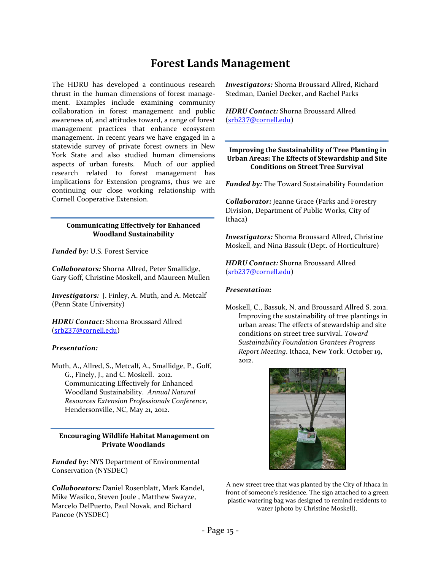# **Forest Lands Management**

<span id="page-15-0"></span>The HDRU has developed a continuous research thrust in the human dimensions of forest management. Examples include examining community collaboration in forest management and public awareness of, and attitudes toward, a range of forest management practices that enhance ecosystem management. In recent years we have engaged in a statewide survey of private forest owners in New York State and also studied human dimensions aspects of urban forests. Much of our applied research related to forest management has implications for Extension programs, thus we are continuing our close working relationship with Cornell Cooperative Extension.

#### **Communicating Effectively for Enhanced Woodland Sustainability**

*Funded by:* U.S. Forest Service

*Collaborators:* Shorna Allred, Peter Smallidge, Gary Goff, Christine Moskell, and Maureen Mullen

*Investigators:* J. Finley, A. Muth, and A. Metcalf (Penn State University)

*HDRU Contact:* Shorna Broussard Allred ([srb237@cornell.edu](mailto:srb237@cornell.edu))

#### *Presentation:*

Muth, A., Allred, S., Metcalf, A., Smallidge, P., Goff, G., Finely, J., and C. Moskell. 2012. Communicating Effectively for Enhanced Woodland Sustainability. *Annual Natural Resources Extension Professionals Conference*, Hendersonville, NC, May 21, 2012.

#### **Encouraging Wildlife Habitat Management on Private Woodlands**

*Funded by:* NYS Department of Environmental Conservation (NYSDEC)

*Collaborators:* Daniel Rosenblatt, Mark Kandel, Mike Wasilco, Steven Joule , Matthew Swayze, Marcelo DelPuerto, Paul Novak, and Richard Pancoe (NYSDEC)

*Investigators:* Shorna Broussard Allred, Richard Stedman, Daniel Decker, and Rachel Parks

*HDRU Contact:* Shorna Broussard Allred ([srb237@cornell.edu](mailto:srb237@cornell.edu))

#### **Improving the Sustainability of Tree Planting in Urban Areas: The Effects of Stewardship and Site Conditions on Street Tree Survival**

*Funded by:* The Toward Sustainability Foundation

*Collaborator:* Jeanne Grace (Parks and Forestry Division, Department of Public Works, City of Ithaca)

*Investigators:* Shorna Broussard Allred, Christine Moskell, and Nina Bassuk (Dept. of Horticulture)

*HDRU Contact:* Shorna Broussard Allred ([srb237@cornell.edu](mailto:srb237@cornell.edu))

#### *Presentation:*

Moskell, C., Bassuk, N. and Broussard Allred S. 2012. Improving the sustainability of tree plantings in urban areas: The effects of stewardship and site conditions on street tree survival. *Toward Sustainability Foundation Grantees Progress Report Meeting*. Ithaca, New York. October 19, 2012.



A new street tree that was planted by the City of Ithaca in front of someone's residence. The sign attached to a green plastic watering bag was designed to remind residents to water (photo by Christine Moskell).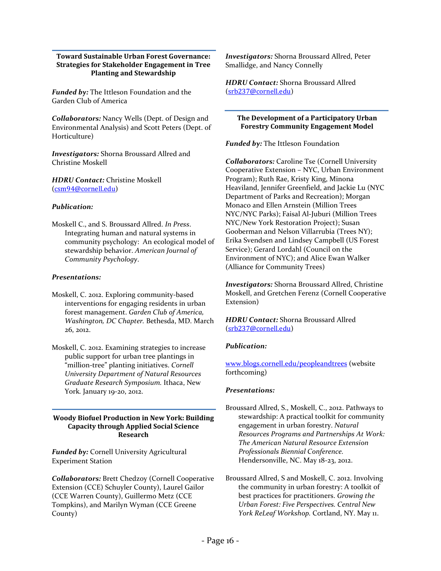#### **Toward Sustainable Urban Forest Governance: Strategies for Stakeholder Engagement in Tree Planting and Stewardship**

*Funded by:* The Ittleson Foundation and the Garden Club of America

*Collaborators:* Nancy Wells (Dept. of Design and Environmental Analysis) and Scott Peters (Dept. of Horticulture)

*Investigators:* Shorna Broussard Allred and Christine Moskell

*HDRU Contact:* Christine Moskell ([csm94@cornell.edu](mailto:csm94@cornell.edu))

#### *Publication:*

Moskell C., and S. Broussard Allred. *In Press*. Integrating human and natural systems in community psychology: An ecological model of stewardship behavior. *American Journal of Community Psychology*.

#### *Presentations:*

- Moskell, C. 2012. Exploring community-based interventions for engaging residents in urban forest management. *Garden Club of America, Washington, DC Chapter.* Bethesda, MD. March 26, 2012.
- Moskell, C. 2012. Examining strategies to increase public support for urban tree plantings in "million-tree" planting initiatives. *Cornell University Department of Natural Resources Graduate Research Symposium.* Ithaca, New York*.* January 19-20, 2012.

#### **Woody Biofuel Production in New York: Building Capacity through Applied Social Science Research**

*Funded by:* Cornell University Agricultural Experiment Station

*Collaborators:* Brett Chedzoy (Cornell Cooperative Extension (CCE) Schuyler County), Laurel Gailor (CCE Warren County), Guillermo Metz (CCE Tompkins), and Marilyn Wyman (CCE Greene County)

*Investigators:* Shorna Broussard Allred, Peter Smallidge, and Nancy Connelly

*HDRU Contact:* Shorna Broussard Allred ([srb237@cornell.edu](mailto:srb237@cornell.edu))

#### **The Development of a Participatory Urban Forestry Community Engagement Model**

*Funded by: The Ittleson Foundation* 

*Collaborators:* Caroline Tse (Cornell University Cooperative Extension – NYC, Urban Environment Program); Ruth Rae, Kristy King, Minona Heaviland, Jennifer Greenfield, and Jackie Lu (NYC Department of Parks and Recreation); Morgan Monaco and Ellen Arnstein (Million Trees NYC/NYC Parks); Faisal Al-Juburi (Million Trees NYC/New York Restoration Project); Susan Gooberman and Nelson Villarrubia (Trees NY); Erika Svendsen and Lindsey Campbell (US Forest Service); Gerard Lordahl (Council on the Environment of NYC); and Alice Ewan Walker (Alliance for Community Trees)

*Investigators:* Shorna Broussard Allred, Christine Moskell, and Gretchen Ferenz (Cornell Cooperative Extension)

*HDRU Contact:* Shorna Broussard Allred ([srb237@cornell.edu](mailto:srb237@cornell.edu))

#### *Publication:*

[www.blogs.cornell.edu/peopleandtrees](http://www.blogs.cornell.edu/peopleandtrees) (website forthcoming)

#### *Presentations:*

- Broussard Allred, S., Moskell, C., 2012. Pathways to stewardship: A practical toolkit for community engagement in urban forestry. *Natural Resources Programs and Partnerships At Work: The American Natural Resource Extension Professionals Biennial Conference.* Hendersonville, NC. May 18-23, 2012.
- Broussard Allred, S and Moskell, C. 2012. Involving the community in urban forestry: A toolkit of best practices for practitioners. *Growing the Urban Forest: Five Perspectives. Central New York ReLeaf Workshop.* Cortland, NY. May 11.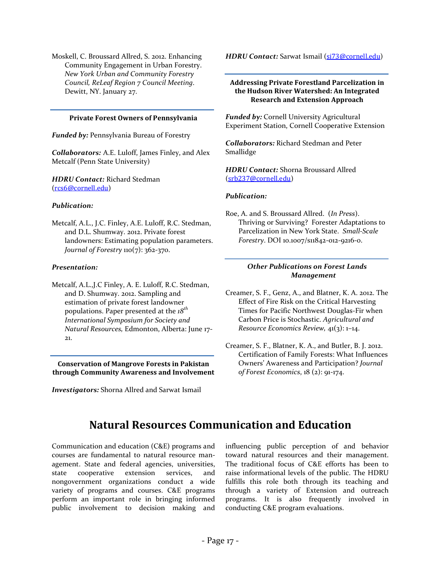Moskell, C. Broussard Allred, S. 2012. Enhancing Community Engagement in Urban Forestry. *New York Urban and Community Forestry Council, ReLeaf Region 7 Council Meeting*. Dewitt, NY. January 27.

#### **Private Forest Owners of Pennsylvania**

*Funded by:* Pennsylvania Bureau of Forestry

*Collaborators:* A.E. Luloff, James Finley, and Alex Metcalf (Penn State University)

*HDRU Contact:* Richard Stedman ([rcs6@cornell.edu](mailto:rcs6@cornell.edu))

#### *Publication:*

Metcalf, A.L., J.C. Finley, A.E. Luloff, R.C. Stedman, and D.L. Shumway. 2012. Private forest landowners: Estimating population parameters. *Journal of Forestry* 110(7): 362-370.

#### *Presentation:*

Metcalf, A.L.,J.C Finley, A. E. Luloff, R.C. Stedman, and D. Shumway. 2012. Sampling and estimation of private forest landowner populations. Paper presented at the *18th International Symposium for Society and Natural Resources,* Edmonton, Alberta: June 17- 21.

**Conservation of Mangrove Forests in Pakistan through Community Awareness and Involvement**

<span id="page-17-0"></span>*Investigators:* Shorna Allred and Sarwat Ismail

*HDRU Contact:* Sarwat Ismail ([si73@cornell.edu](mailto:si73@cornell.edu))

#### **Addressing Private Forestland Parcelization in the Hudson River Watershed: An Integrated Research and Extension Approach**

*Funded by:* Cornell University Agricultural Experiment Station, Cornell Cooperative Extension

*Collaborators:* Richard Stedman and Peter Smallidge

*HDRU Contact:* Shorna Broussard Allred ([srb237@cornell.edu](mailto:srb237@cornell.edu))

#### *Publication:*

Roe, A. and S. Broussard Allred. (*In Press*). Thriving or Surviving? Forester Adaptations to Parcelization in New York State. *Small-Scale Forestry*. DOI 10.1007/s11842-012-9216-0.

#### *Other Publications on Forest Lands Management*

Creamer, S. F., Genz, A., and Blatner, K. A. 2012. The Effect of Fire Risk on the Critical Harvesting Times for Pacific Northwest Douglas-Fir when Carbon Price is Stochastic. *Agricultural and Resource Economics Review,* 41(3): 1–14.

Creamer, S. F., Blatner, K. A., and Butler, B. J. 2012. Certification of Family Forests: What Influences Owners' Awareness and Participation? *Journal of Forest Economics*, 18 (2): 91-174.

# **Natural Resources Communication and Education**

Communication and education (C&E) programs and courses are fundamental to natural resource management. State and federal agencies, universities, state cooperative extension services, and nongovernment organizations conduct a wide variety of programs and courses. C&E programs perform an important role in bringing informed public involvement to decision making and influencing public perception of and behavior toward natural resources and their management. The traditional focus of C&E efforts has been to raise informational levels of the public. The HDRU fulfills this role both through its teaching and through a variety of Extension and outreach programs. It is also frequently involved in conducting C&E program evaluations.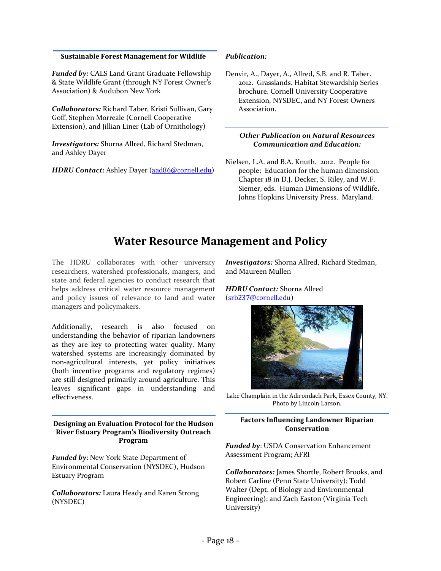#### **Sustainable Forest Management for Wildlife**

*Funded by:* CALS Land Grant Graduate Fellowship & State Wildlife Grant (through NY Forest Owner's Association) & Audubon New York

*Collaborators:* Richard Taber, Kristi Sullivan, Gary Goff, Stephen Morreale (Cornell Cooperative Extension), and Jillian Liner (Lab of Ornithology)

*Investigators:* Shorna Allred, Richard Stedman, and Ashley Dayer

*HDRU Contact:* Ashley Dayer ([aad86@cornell.edu](mailto:aad86@cornell.edu))

#### *Publication:*

Denvir, A., Dayer, A., Allred, S.B. and R. Taber. 2012. Grasslands. Habitat Stewardship Series brochure. Cornell University Cooperative Extension, NYSDEC, and NY Forest Owners Association.

#### *Other Publication on Natural Resources Communication and Education:*

Nielsen, L.A. and B.A. Knuth. 2012. People for people: Education for the human dimension. Chapter 18 in D.J. Decker, S. Riley, and W.F. Siemer, eds. Human Dimensions of Wildlife. Johns Hopkins University Press. Maryland.

# **Water Resource Management and Policy**

<span id="page-18-0"></span>The HDRU collaborates with other university researchers, watershed professionals, mangers, and state and federal agencies to conduct research that helps address critical water resource management and policy issues of relevance to land and water managers and policymakers.

Additionally, research is also focused on understanding the behavior of riparian landowners as they are key to protecting water quality. Many watershed systems are increasingly dominated by non-agricultural interests, yet policy initiatives (both incentive programs and regulatory regimes) are still designed primarily around agriculture. This leaves significant gaps in understanding and effectiveness.

**Designing an Evaluation Protocol for the Hudson River Estuary Program's Biodiversity Outreach Program**

*Funded by*: New York State Department of Environmental Conservation (NYSDEC), Hudson Estuary Program

*Collaborators:* Laura Heady and Karen Strong (NYSDEC)

*Investigators:* Shorna Allred, Richard Stedman, and Maureen Mullen

#### *HDRU Contact:* Shorna Allred ([srb237@cornell.edu](mailto:srb237@cornell.edu))



Lake Champlain in the Adirondack Park, Essex County, NY. Photo by Lincoln Larson.

#### **Factors Influencing Landowner Riparian Conservation**

*Funded by*: USDA Conservation Enhancement Assessment Program; AFRI

*Collaborators:* James Shortle, Robert Brooks, and Robert Carline (Penn State University); Todd Walter (Dept. of Biology and Environmental Engineering); and Zach Easton (Virginia Tech University)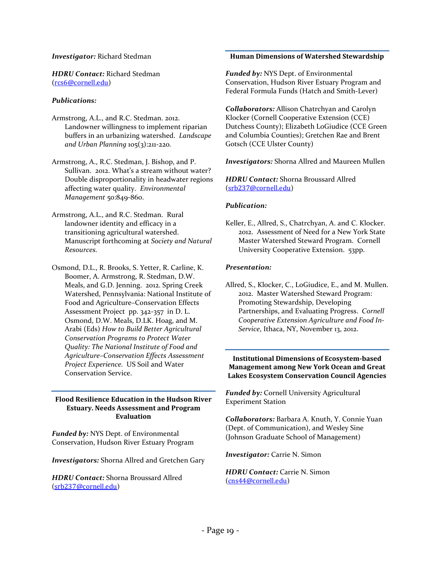#### *Investigator:* Richard Stedman

*HDRU Contact:* Richard Stedman ([rcs6@cornell.edu](mailto:rcs6@cornell.edu))

#### *Publications:*

- Armstrong, A.L., and R.C. Stedman. 2012. Landowner willingness to implement riparian buffers in an urbanizing watershed. *Landscape and Urban Planning* 105(3):211-220*.*
- Armstrong, A., R.C. Stedman, J. Bishop, and P. Sullivan. 2012. What's a stream without water? Double disproportionality in headwater regions affecting water quality. *Environmental Management* 50:849-860.
- Armstrong, A.L., and R.C. Stedman. Rural landowner identity and efficacy in a transitioning agricultural watershed. Manuscript forthcoming at *Society and Natural Resources.*
- Osmond, D.L., R. Brooks, S. Yetter, R. Carline, K. Boomer, A. Armstrong, R. Stedman, D.W. Meals, and G.D. Jenning. 2012. Spring Creek Watershed, Pennsylvania: National Institute of Food and Agriculture–Conservation Effects Assessment Project pp. 342-357 in D. L. Osmond, D.W. Meals, D.LK. Hoag, and M. Arabi (Eds) *How to Build Better Agricultural Conservation Programs to Protect Water Quality: The National Institute of Food and Agriculture–Conservation Effects Assessment Project Experience.* US Soil and Water Conservation Service.

#### **Flood Resilience Education in the Hudson River Estuary. Needs Assessment and Program Evaluation**

*Funded by:* NYS Dept. of Environmental Conservation, Hudson River Estuary Program

*Investigators:* Shorna Allred and Gretchen Gary

*HDRU Contact:* Shorna Broussard Allred ([srb237@cornell.edu](mailto:srb237@cornell.edu))

#### **Human Dimensions of Watershed Stewardship**

*Funded by:* NYS Dept. of Environmental Conservation, Hudson River Estuary Program and Federal Formula Funds (Hatch and Smith-Lever)

*Collaborators:* Allison Chatrchyan and Carolyn Klocker (Cornell Cooperative Extension (CCE) Dutchess County); Elizabeth LoGiudice (CCE Green and Columbia Counties); Gretchen Rae and Brent Gotsch (CCE Ulster County)

#### *Investigators:* Shorna Allred and Maureen Mullen

*HDRU Contact:* Shorna Broussard Allred ([srb237@cornell.edu](mailto:srb237@cornell.edu))

#### *Publication:*

Keller, E., Allred, S., Chatrchyan, A. and C. Klocker. 2012. Assessment of Need for a New York State Master Watershed Steward Program. Cornell University Cooperative Extension. 53pp.

#### *Presentation:*

Allred, S., Klocker, C., LoGiudice, E., and M. Mullen. 2012. Master Watershed Steward Program: Promoting Stewardship, Developing Partnerships, and Evaluating Progress. *Cornell Cooperative Extension Agriculture and Food In-Service*, Ithaca, NY, November 13, 2012.

#### **Institutional Dimensions of Ecosystem-based Management among New York Ocean and Great Lakes Ecosystem Conservation Council Agencies**

*Funded by:* Cornell University Agricultural Experiment Station

*Collaborators:* Barbara A. Knuth, Y. Connie Yuan (Dept. of Communication), and Wesley Sine (Johnson Graduate School of Management)

*Investigator:* Carrie N. Simon

*HDRU Contact:* Carrie N. Simon ([cns44@cornell.edu](mailto:cns44@cornell.edu))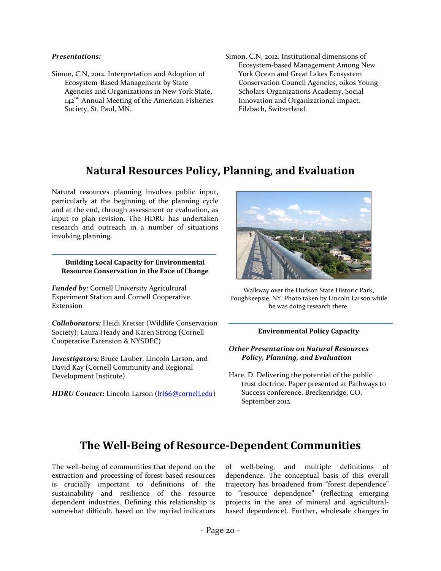#### *Presentations:*

- Simon, C.N, 2012. Interpretation and Adoption of Ecosystem-Based Management by State Agencies and Organizations in New York State, 142<sup>nd</sup> Annual Meeting of the American Fisheries Society, St. Paul, MN.
- Simon, C.N, 2012. Institutional dimensions of Ecosystem-based Management Among New York Ocean and Great Lakes Ecosystem Conservation Council Agencies, oikos Young Scholars Organizations Academy, Social Innovation and Organizational Impact. Filzbach, Switzerland.

# **Natural Resources Policy, Planning, and Evaluation**

<span id="page-20-0"></span>Natural resources planning involves public input, particularly at the beginning of the planning cycle and at the end, through assessment or evaluation, as input to plan revision. The HDRU has undertaken research and outreach in a number of situations involving planning.

**Building Local Capacity for Environmental Resource Conservation in the Face of Change**

*Funded by:* Cornell University Agricultural Experiment Station and Cornell Cooperative Extension

*Collaborators:* Heidi Kretser (Wildlife Conservation Society); Laura Heady and Karen Strong (Cornell Cooperative Extension & NYSDEC)

*Investigators:* Bruce Lauber, Lincoln Larson, and David Kay (Cornell Community and Regional Development Institute)

*HDRU Contact: Lincoln Larson ([lrl66@cornell.edu](mailto:lrl66@cornell.edu))* 



Walkway over the Hudson State Historic Park, Poughkeepsie, NY. Photo taken by Lincoln Larson while he was doing research there.

#### **Environmental Policy Capacity**

#### *Other Presentation on Natural Resources Policy, Planning, and Evaluation*

Hare, D. Delivering the potential of the public trust doctrine. Paper presented at Pathways to Success conference, Breckenridge, CO, September 2012.

# <span id="page-20-1"></span>**The Well-Being of Resource-Dependent Communities**

The well-being of communities that depend on the extraction and processing of forest-based resources is crucially important to definitions of the sustainability and resilience of the resource dependent industries. Defining this relationship is somewhat difficult, based on the myriad indicators of well-being, and multiple definitions of dependence. The conceptual basis of this overall trajectory has broadened from "forest dependence" to "resource dependence" (reflecting emerging projects in the area of mineral and agriculturalbased dependence). Further, wholesale changes in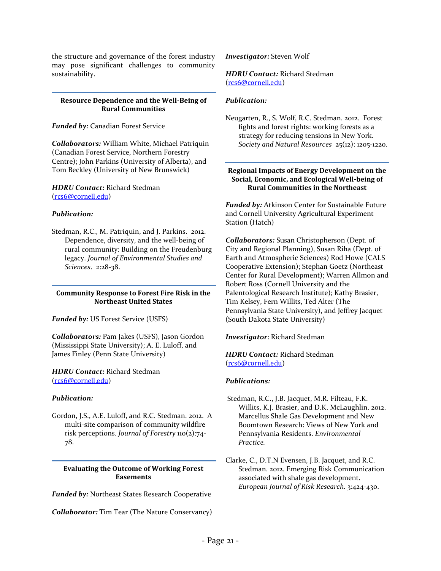the structure and governance of the forest industry may pose significant challenges to community sustainability.

#### **Resource Dependence and the Well-Being of Rural Communities**

*Funded by:* Canadian Forest Service

*Collaborators:* William White, Michael Patriquin (Canadian Forest Service, Northern Forestry Centre); John Parkins (University of Alberta), and Tom Beckley (University of New Brunswick)

*HDRU Contact:* Richard Stedman ([rcs6@cornell.edu](mailto:rcs6@cornell.edu))

#### *Publication:*

Stedman, R.C., M. Patriquin, and J. Parkins. 2012. Dependence, diversity, and the well-being of rural community: Building on the Freudenburg legacy. *Journal of Environmental Studies and Sciences*. 2:28-38.

#### **Community Response to Forest Fire Risk in the Northeast United States**

*Funded by:* US Forest Service (USFS)

*Collaborators:* Pam Jakes (USFS), Jason Gordon (Mississippi State University); A. E. Luloff, and James Finley (Penn State University)

*HDRU Contact:* Richard Stedman ([rcs6@cornell.edu](mailto:rcs6@cornell.edu))

#### *Publication:*

Gordon, J.S., A.E. Luloff, and R.C. Stedman. 2012. A multi-site comparison of community wildfire risk perceptions. *Journal of Forestry* 110(2):74- 78.

**Evaluating the Outcome of Working Forest Easements**

*Funded by:* Northeast States Research Cooperative

*Collaborator:* Tim Tear (The Nature Conservancy)

*Investigator:* Steven Wolf

#### *HDRU Contact:* Richard Stedman ([rcs6@cornell.edu](mailto:rcs6@cornell.edu))

#### *Publication:*

Neugarten, R., S. Wolf, R.C. Stedman. 2012. Forest fights and forest rights: working forests as a strategy for reducing tensions in New York. *Society and Natural Resources* 25(12): 1205-1220.

#### **Regional Impacts of Energy Development on the Social, Economic, and Ecological Well-being of Rural Communities in the Northeast**

*Funded by:* Atkinson Center for Sustainable Future and Cornell University Agricultural Experiment Station (Hatch)

*Collaborators:* Susan Christopherson (Dept. of City and Regional Planning), Susan Riha (Dept. of Earth and Atmospheric Sciences) Rod Howe (CALS Cooperative Extension); Stephan Goetz (Northeast Center for Rural Development); Warren Allmon and Robert Ross (Cornell University and the Palentological Research Institute); Kathy Brasier, Tim Kelsey, Fern Willits, Ted Alter (The Pennsylvania State University), and Jeffrey Jacquet (South Dakota State University)

*Investigator*: Richard Stedman

*HDRU Contact:* Richard Stedman ([rcs6@cornell.edu](mailto:rcs6@cornell.edu))

#### *Publications:*

- Stedman, R.C., J.B. Jacquet, M.R. Filteau, F.K. Willits, K.J. Brasier, and D.K. McLaughlin. 2012. Marcellus Shale Gas Development and New Boomtown Research: Views of New York and Pennsylvania Residents. *Environmental Practice.*
- Clarke, C., D.T.N Evensen, J.B. Jacquet, and R.C. Stedman. 2012. Emerging Risk Communication associated with shale gas development. *European Journal of Risk Research.* 3:424-430.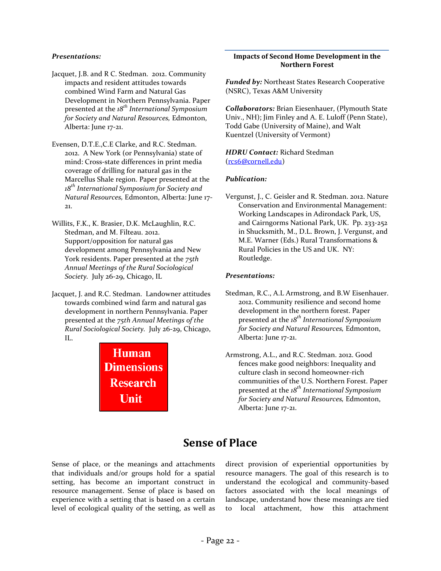#### *Presentations:*

- Jacquet, J.B. and R C. Stedman. 2012. Community impacts and resident attitudes towards combined Wind Farm and Natural Gas Development in Northern Pennsylvania. Paper presented at the *18th International Symposium for Society and Natural Resources,* Edmonton, Alberta: June 17-21.
- Evensen, D.T.E.,C.E Clarke, and R.C. Stedman. 2012. A New York (or Pennsylvania) state of mind: Cross-state differences in print media coverage of drilling for natural gas in the Marcellus Shale region. Paper presented at the *18th International Symposium for Society and Natural Resources,* Edmonton, Alberta: June 17- 21.
- Willits, F.K., K. Brasier, D.K. McLaughlin, R.C. Stedman, and M. Filteau. 2012. Support/opposition for natural gas development among Pennsylvania and New York residents. Paper presented at the *75th Annual Meetings of the Rural Sociological Society.* July 26-29, Chicago, IL
- Jacquet, J. and R.C. Stedman. Landowner attitudes towards combined wind farm and natural gas development in northern Pennsylvania. Paper presented at the *75th Annual Meetings of the Rural Sociological Society.* July 26-29, Chicago, IL.



#### **Impacts of Second Home Development in the Northern Forest**

*Funded by:* Northeast States Research Cooperative (NSRC), Texas A&M University

*Collaborators:* Brian Eiesenhauer, (Plymouth State Univ., NH); Jim Finley and A. E. Luloff (Penn State), Todd Gabe (University of Maine), and Walt Kuentzel (University of Vermont)

*HDRU Contact:* Richard Stedman ([rcs6@cornell.edu](mailto:rcs6@cornell.edu))

#### *Publication:*

Vergunst, J., C. Geisler and R. Stedman. 2012. Nature Conservation and Environmental Management: Working Landscapes in Adirondack Park, US, and Cairngorms National Park, UK. Pp. 233-252 in Shucksmith, M., D.L. Brown, J. Vergunst, and M.E. Warner (Eds.) Rural Transformations & Rural Policies in the US and UK. NY: Routledge.

#### *Presentations:*

- Stedman, R.C., A.L Armstrong, and B.W Eisenhauer. 2012. Community resilience and second home development in the northern forest. Paper presented at the *18th International Symposium for Society and Natural Resources,* Edmonton, Alberta: June 17-21.
- Armstrong, A.L., and R.C. Stedman. 2012. Good fences make good neighbors: Inequality and culture clash in second homeowner-rich communities of the U.S. Northern Forest. Paper presented at the *18th International Symposium for Society and Natural Resources,* Edmonton, Alberta: June 17-21.

# **Sense of Place**

<span id="page-22-0"></span>Sense of place, or the meanings and attachments that individuals and/or groups hold for a spatial setting, has become an important construct in resource management. Sense of place is based on experience with a setting that is based on a certain level of ecological quality of the setting, as well as direct provision of experiential opportunities by resource managers. The goal of this research is to understand the ecological and community-based factors associated with the local meanings of landscape, understand how these meanings are tied to local attachment, how this attachment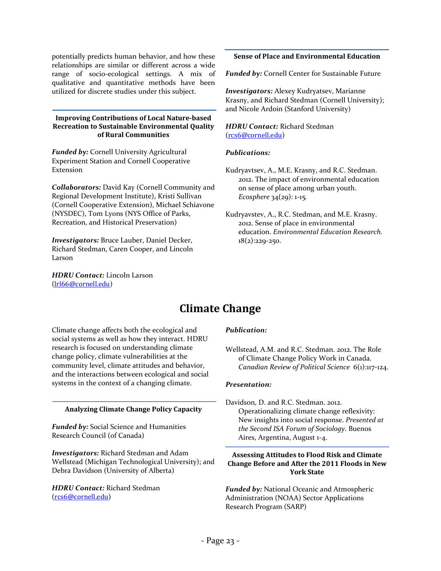potentially predicts human behavior, and how these relationships are similar or different across a wide range of socio-ecological settings. A mix of qualitative and quantitative methods have been utilized for discrete studies under this subject.

#### **Improving Contributions of Local Nature-based Recreation to Sustainable Environmental Quality of Rural Communities**

*Funded by:* Cornell University Agricultural Experiment Station and Cornell Cooperative Extension

*Collaborators:* David Kay (Cornell Community and Regional Development Institute), Kristi Sullivan (Cornell Cooperative Extension), Michael Schiavone (NYSDEC), Tom Lyons (NYS Office of Parks, Recreation, and Historical Preservation)

*Investigators:* Bruce Lauber, Daniel Decker, Richard Stedman, Caren Cooper, and Lincoln Larson

<span id="page-23-0"></span>*HDRU Contact:* Lincoln Larson ([lrl66@cornell.edu](mailto:lrl66@cornell.edu))

#### **Sense of Place and Environmental Education**

*Funded by:* Cornell Center for Sustainable Future

*Investigators:* Alexey Kudryatsev, Marianne Krasny, and Richard Stedman (Cornell University); and Nicole Ardoin (Stanford University)

*HDRU Contact:* Richard Stedman ([rcs6@cornell.edu](mailto:rcs6@cornell.edu))

#### *Publications:*

- Kudryavtsev, A., M.E. Krasny, and R.C. Stedman. 2012. The impact of environmental education on sense of place among urban youth. *Ecosphere* 34(29): 1-15*.*
- Kudryavstev, A., R.C. Stedman, and M.E. Krasny. 2012. Sense of place in environmental education. *Environmental Education Research.*   $18(2):229-250.$

# **Climate Change**

Climate change affects both the ecological and social systems as well as how they interact. HDRU research is focused on understanding climate change policy, climate vulnerabilities at the community level, climate attitudes and behavior, and the interactions between ecological and social systems in the context of a changing climate.

#### **Analyzing Climate Change Policy Capacity**

*Funded by:* Social Science and Humanities Research Council (of Canada)

*Investigators:* Richard Stedman and Adam Wellstead (Michigan Technological University); and Debra Davidson (University of Alberta)

*HDRU Contact:* Richard Stedman ([rcs6@cornell.edu](mailto:rcs6@cornell.edu))

#### *Publication:*

Wellstead, A.M. and R.C. Stedman. 2012. The Role of Climate Change Policy Work in Canada. *Canadian Review of Political Science* 6(1):117-124.

#### *Presentation:*

Davidson, D. and R.C. Stedman. 2012. Operationalizing climate change reflexivity: New insights into social response. *Presented at the Second ISA Forum of Sociology*. Buenos Aires, Argentina, August 1-4.

#### **Assessing Attitudes to Flood Risk and Climate Change Before and After the 2011 Floods in New York State**

*Funded by:* National Oceanic and Atmospheric Administration (NOAA) Sector Applications Research Program (SARP)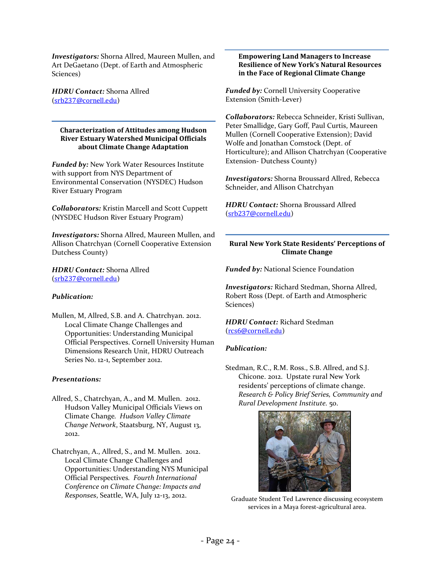*Investigators:* Shorna Allred, Maureen Mullen, and Art DeGaetano (Dept. of Earth and Atmospheric Sciences)

*HDRU Contact:* Shorna Allred ([srb237@cornell.edu](mailto:srb237@cornell.edu))

#### **Characterization of Attitudes among Hudson River Estuary Watershed Municipal Officials about Climate Change Adaptation**

*Funded by:* New York Water Resources Institute with support from NYS Department of Environmental Conservation (NYSDEC) Hudson River Estuary Program

*Collaborators:* Kristin Marcell and Scott Cuppett (NYSDEC Hudson River Estuary Program)

*Investigators:* Shorna Allred, Maureen Mullen, and Allison Chatrchyan (Cornell Cooperative Extension Dutchess County)

*HDRU Contact:* Shorna Allred ([srb237@cornell.edu](mailto:srb237@cornell.edu))

#### *Publication:*

Mullen, M, Allred, S.B. and A. Chatrchyan. 2012. Local Climate Change Challenges and Opportunities: Understanding Municipal Official Perspectives. Cornell University Human Dimensions Research Unit, HDRU Outreach Series No. 12-1, September 2012.

#### *Presentations:*

- Allred, S., Chatrchyan, A., and M. Mullen. 2012. Hudson Valley Municipal Officials Views on Climate Change*. Hudson Valley Climate Change Network*, Staatsburg, NY, August 13, 2012.
- Chatrchyan, A., Allred, S., and M. Mullen. 2012. Local Climate Change Challenges and Opportunities: Understanding NYS Municipal Official Perspectives*. Fourth International Conference on Climate Change: Impacts and Responses*, Seattle, WA, July 12-13, 2012.

#### **Empowering Land Managers to Increase Resilience of New York's Natural Resources in the Face of Regional Climate Change**

*Funded by:* Cornell University Cooperative Extension (Smith-Lever)

*Collaborators:* Rebecca Schneider, Kristi Sullivan, Peter Smallidge, Gary Goff, Paul Curtis, Maureen Mullen (Cornell Cooperative Extension); David Wolfe and Jonathan Comstock (Dept. of Horticulture); and Allison Chatrchyan (Cooperative Extension- Dutchess County)

*Investigators:* Shorna Broussard Allred, Rebecca Schneider, and Allison Chatrchyan

*HDRU Contact:* Shorna Broussard Allred ([srb237@cornell.edu](mailto:srb237@cornell.edu))

#### **Rural New York State Residents' Perceptions of Climate Change**

*Funded by:* National Science Foundation

*Investigators:* Richard Stedman, Shorna Allred, Robert Ross (Dept. of Earth and Atmospheric Sciences)

*HDRU Contact:* Richard Stedman ([rcs6@cornell.edu](mailto:rcs6@cornell.edu))

#### *Publication:*

Stedman, R.C., R.M. Ross., S.B. Allred, and S.J. Chicone. 2012. Upstate rural New York residents' perceptions of climate change. *Research & Policy Brief Series, Community and Rural Development Institute.* 50.



Graduate Student Ted Lawrence discussing ecosystem services in a Maya forest-agricultural area.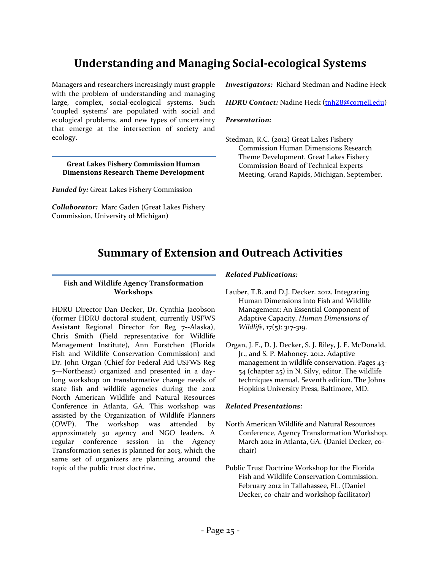# <span id="page-25-0"></span>**Understanding and Managing Social-ecological Systems**

Managers and researchers increasingly must grapple with the problem of understanding and managing large, complex, social-ecological systems. Such 'coupled systems' are populated with social and ecological problems, and new types of uncertainty that emerge at the intersection of society and ecology.

**Great Lakes Fishery Commission Human Dimensions Research Theme Development**

*Funded by:* Great Lakes Fishery Commission

<span id="page-25-1"></span>*Collaborator:* Marc Gaden (Great Lakes Fishery Commission, University of Michigan)

*Investigators:* Richard Stedman and Nadine Heck

*HDRU Contact:* Nadine Heck ([tnh28@cornell.edu](mailto:tnh28@cornell.edu))

#### *Presentation:*

Stedman, R.C. (2012) Great Lakes Fishery Commission Human Dimensions Research Theme Development. Great Lakes Fishery Commission Board of Technical Experts Meeting, Grand Rapids, Michigan, September.

# **Summary of Extension and Outreach Activities**

#### **Fish and Wildlife Agency Transformation Workshops**

HDRU Director Dan Decker, Dr. Cynthia Jacobson (former HDRU doctoral student, currently USFWS Assistant Regional Director for Reg 7--Alaska), Chris Smith (Field representative for Wildlife Management Institute), Ann Forstchen (Florida Fish and Wildlife Conservation Commission) and Dr. John Organ (Chief for Federal Aid USFWS Reg 5—Northeast) organized and presented in a daylong workshop on transformative change needs of state fish and wildlife agencies during the 2012 North American Wildlife and Natural Resources Conference in Atlanta, GA. This workshop was assisted by the Organization of Wildlife Planners (OWP). The workshop was attended by approximately 50 agency and NGO leaders. A regular conference session in the Agency Transformation series is planned for 2013, which the same set of organizers are planning around the topic of the public trust doctrine.

#### *Related Publications:*

- Lauber, T.B. and D.J. Decker. 2012. Integrating Human Dimensions into Fish and Wildlife Management: An Essential Component of Adaptive Capacity. *Human Dimensions of Wildlife*, 17(5): 317-319.
- Organ, J. F., D. J. Decker, S. J. Riley, J. E. McDonald, Jr., and S. P. Mahoney. 2012. Adaptive management in wildlife conservation. Pages 43- 54 (chapter 25) in N. Silvy, editor. The wildlife techniques manual. Seventh edition. The Johns Hopkins University Press, Baltimore, MD.

#### *Related Presentations:*

- North American Wildlife and Natural Resources Conference, Agency Transformation Workshop. March 2012 in Atlanta, GA. (Daniel Decker, cochair)
- Public Trust Doctrine Workshop for the Florida Fish and Wildlife Conservation Commission. February 2012 in Tallahassee, FL. (Daniel Decker, co-chair and workshop facilitator)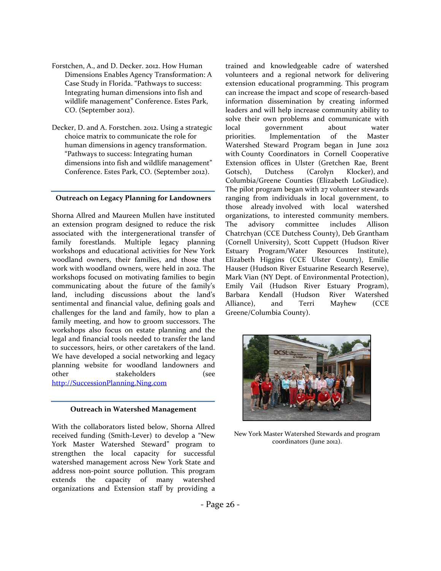- Forstchen, A., and D. Decker. 2012. How Human Dimensions Enables Agency Transformation: A Case Study in Florida. "Pathways to success: Integrating human dimensions into fish and wildlife management" Conference. Estes Park, CO. (September 2012).
- Decker, D. and A. Forstchen. 2012. Using a strategic choice matrix to communicate the role for human dimensions in agency transformation. "Pathways to success: Integrating human dimensions into fish and wildlife management" Conference. Estes Park, CO. (September 2012).

#### **Outreach on Legacy Planning for Landowners**

Shorna Allred and Maureen Mullen have instituted an extension program designed to reduce the risk associated with the intergenerational transfer of family forestlands. Multiple legacy planning workshops and educational activities for New York woodland owners, their families, and those that work with woodland owners, were held in 2012. The workshops focused on motivating families to begin communicating about the future of the family's land, including discussions about the land's sentimental and financial value, defining goals and challenges for the land and family, how to plan a family meeting, and how to groom successors. The workshops also focus on estate planning and the legal and financial tools needed to transfer the land to successors, heirs, or other caretakers of the land. We have developed a social networking and legacy planning website for woodland landowners and other stakeholders (see [http://SuccessionPlanning.Ning.com](http://successionplanning.ning.com/)

#### **Outreach in Watershed Management**

With the collaborators listed below, Shorna Allred received funding (Smith-Lever) to develop a "New York Master Watershed Steward" program to strengthen the local capacity for successful watershed management across New York State and address non-point source pollution. This program extends the capacity of many watershed organizations and Extension staff by providing a trained and knowledgeable cadre of watershed volunteers and a regional network for delivering extension educational programming. This program can increase the impact and scope of research-based information dissemination by creating informed leaders and will help increase community ability to solve their own problems and communicate with local government about water priorities. Implementation of the Master Watershed Steward Program began in June 2012 with County Coordinators in Cornell Cooperative Extension offices in Ulster (Gretchen Rae, Brent Gotsch), Dutchess (Carolyn Klocker), and Columbia/Greene Counties (Elizabeth LoGiudice). The pilot program began with 27 volunteer stewards ranging from individuals in local government, to those already involved with local watershed organizations, to interested community members. The advisory committee includes Allison Chatrchyan (CCE Dutchess County), Deb Grantham (Cornell University), Scott Cuppett (Hudson River Estuary Program/Water Resources Institute), Elizabeth Higgins (CCE Ulster County), Emilie Hauser (Hudson River Estuarine Research Reserve), Mark Vian (NY Dept. of Environmental Protection), Emily Vail (Hudson River Estuary Program), Barbara Kendall (Hudson River Watershed Alliance), and Terri Mayhew (CCE Greene/Columbia County).



New York Master Watershed Stewards and program coordinators (June 2012).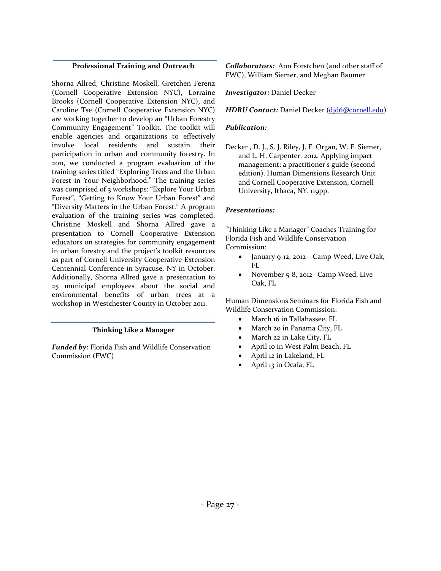#### **Professional Training and Outreach**

Shorna Allred, Christine Moskell, Gretchen Ferenz (Cornell Cooperative Extension NYC), Lorraine Brooks (Cornell Cooperative Extension NYC), and Caroline Tse (Cornell Cooperative Extension NYC) are working together to develop an "Urban Forestry Community Engagement" Toolkit. The toolkit will enable agencies and organizations to effectively involve local residents and sustain their participation in urban and community forestry. In 2011, we conducted a program evaluation of the training series titled "Exploring Trees and the Urban Forest in Your Neighborhood." The training series was comprised of 3 workshops: "Explore Your Urban Forest", "Getting to Know Your Urban Forest" and "Diversity Matters in the Urban Forest." A program evaluation of the training series was completed. Christine Moskell and Shorna Allred gave a presentation to Cornell Cooperative Extension educators on strategies for community engagement in urban forestry and the project's toolkit resources as part of Cornell University Cooperative Extension Centennial Conference in Syracuse, NY in October. Additionally, Shorna Allred gave a presentation to 25 municipal employees about the social and environmental benefits of urban trees at a workshop in Westchester County in October 2011.

#### **Thinking Like a Manager**

*Funded by:* Florida Fish and Wildlife Conservation Commission (FWC)

*Collaborators:* Ann Forstchen (and other staff of FWC), William Siemer, and Meghan Baumer

*Investigator:* Daniel Decker

*HDRU Contact:* Daniel Decker ([djd6@cornell.edu](mailto:djd6@cornell.edu))

#### *Publication:*

Decker , D. J., S. J. Riley, J. F. Organ, W. F. Siemer, and L. H. Carpenter. 2012. Applying impact management: a practitioner's guide (second edition). Human Dimensions Research Unit and Cornell Cooperative Extension, Cornell University, Ithaca, NY. 119pp.

#### *Presentations:*

"Thinking Like a Manager" Coaches Training for Florida Fish and Wildlife Conservation Commission:

- January 9-12, 2012-- Camp Weed, Live Oak, FL
- November 5-8, 2012--Camp Weed, Live Oak, FL

Human Dimensions Seminars for Florida Fish and Wildlife Conservation Commission:

- March 16 in Tallahassee, FL
- March 20 in Panama City, FL
- March 22 in Lake City, FL
- April 10 in West Palm Beach, FL
- April 12 in Lakeland, FL
- April 13 in Ocala, FL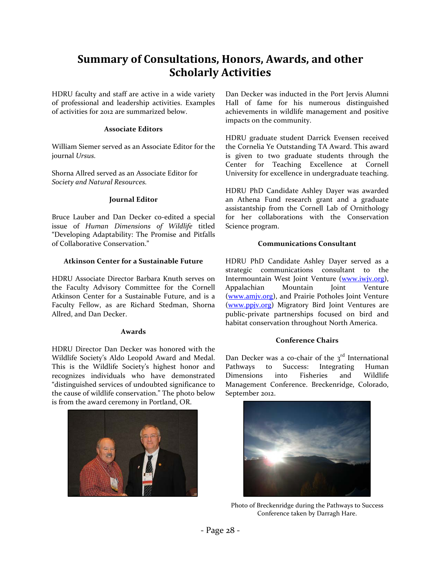# <span id="page-28-0"></span>**Summary of Consultations, Honors, Awards, and other Scholarly Activities**

HDRU faculty and staff are active in a wide variety of professional and leadership activities. Examples of activities for 2012 are summarized below.

#### **Associate Editors**

William Siemer served as an Associate Editor for the journal *Ursus.*

Shorna Allred served as an Associate Editor for *Society and Natural Resources.*

#### **Journal Editor**

Bruce Lauber and Dan Decker co-edited a special issue of *Human Dimensions of Wildlife* titled "Developing Adaptability: The Promise and Pitfalls of Collaborative Conservation."

#### **Atkinson Center for a Sustainable Future**

HDRU Associate Director Barbara Knuth serves on the Faculty Advisory Committee for the Cornell Atkinson Center for a Sustainable Future, and is a Faculty Fellow, as are Richard Stedman, Shorna Allred, and Dan Decker.

#### **Awards**

HDRU Director Dan Decker was honored with the Wildlife Society's Aldo Leopold Award and Medal. This is the Wildlife Society's highest honor and recognizes individuals who have demonstrated "distinguished services of undoubted significance to the cause of wildlife conservation." The photo below is from the award ceremony in Portland, OR.



Dan Decker was inducted in the Port Jervis Alumni Hall of fame for his numerous distinguished achievements in wildlife management and positive impacts on the community.

HDRU graduate student Darrick Evensen received the Cornelia Ye Outstanding TA Award. This award is given to two graduate students through the Center for Teaching Excellence at Cornell University for excellence in undergraduate teaching.

HDRU PhD Candidate Ashley Dayer was awarded an Athena Fund research grant and a graduate assistantship from the Cornell Lab of Ornithology for her collaborations with the Conservation Science program.

#### **Communications Consultant**

HDRU PhD Candidate Ashley Dayer served as a strategic communications consultant to the Intermountain West Joint Venture [\(www.iwjv.org\)](http://www.iwjv.org/), Appalachian Mountain Joint Venture [\(www.amjv.org\)](http://www.amjv.org/), and Prairie Potholes Joint Venture [\(www.ppjv.org\)](http://www.ppjv.org/) Migratory Bird Joint Ventures are public-private partnerships focused on bird and habitat conservation throughout North America.

#### **Conference Chairs**

Dan Decker was a co-chair of the  $3<sup>rd</sup>$  International Pathways to Success: Integrating Human Dimensions into Fisheries and Wildlife Management Conference. Breckenridge, Colorado, September 2012.



Photo of Breckenridge during the Pathways to Success Conference taken by Darragh Hare.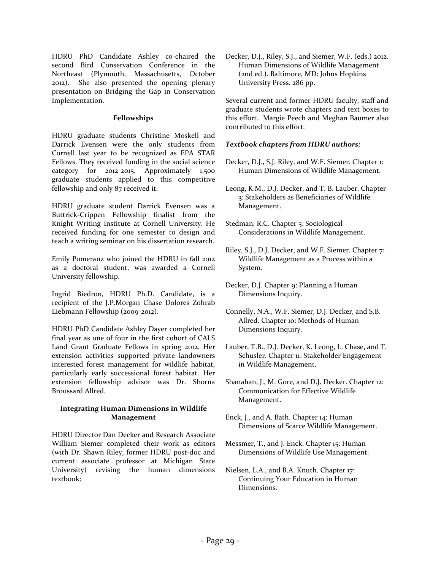HDRU PhD Candidate Ashley co-chaired the second Bird Conservation Conference in the Northeast (Plymouth, Massachusetts, October 2012). She also presented the opening plenary presentation on Bridging the Gap in Conservation Implementation.

#### **Fellowships**

HDRU graduate students Christine Moskell and Darrick Evensen were the only students from Cornell last year to be recognized as EPA STAR Fellows. They received funding in the social science category for 2012-2015. Approximately 1,500 graduate students applied to this competitive fellowship and only 87 received it.

HDRU graduate student Darrick Evensen was a Buttrick-Crippen Fellowship finalist from the Knight Writing Institute at Cornell University. He received funding for one semester to design and teach a writing seminar on his dissertation research.

Emily Pomeranz who joined the HDRU in fall 2012 as a doctoral student, was awarded a Cornell University fellowship.

Ingrid Biedron, HDRU Ph.D. Candidate, is a recipient of the J.P.Morgan Chase Dolores Zohrab Liebmann Fellowship (2009-2012).

HDRU PhD Candidate Ashley Dayer completed her final year as one of four in the first cohort of CALS Land Grant Graduate Fellows in spring 2012. Her extension activities supported private landowners interested forest management for wildlife habitat, particularly early successional forest habitat. Her extension fellowship advisor was Dr. Shorna Broussard Allred.

#### **Integrating Human Dimensions in Wildlife Management**

HDRU Director Dan Decker and Research Associate William Siemer completed their work as editors (with Dr. Shawn Riley, former HDRU post-doc and current associate professor at Michigan State University) revising the human dimensions textbook:

Decker, D.J., Riley, S.J., and Siemer, W.F. (eds.) 2012. Human Dimensions of Wildlife Management (2nd ed.). Baltimore, MD: Johns Hopkins University Press. 286 pp.

Several current and former HDRU faculty, staff and graduate students wrote chapters and text boxes to this effort. Margie Peech and Meghan Baumer also contributed to this effort.

#### *Textbook chapters from HDRU authors:*

- Decker, D.J., S.J. Riley, and W.F. Siemer. Chapter 1: Human Dimensions of Wildlife Management.
- Leong, K.M., D.J. Decker, and T. B. Lauber. Chapter 3: Stakeholders as Beneficiaries of Wildlife Management.
- Stedman, R.C. Chapter 5: Sociological Considerations in Wildlife Management.
- Riley, S.J., D.J. Decker, and W.F. Siemer. Chapter 7: Wildlife Management as a Process within a System.
- Decker, D.J. Chapter 9: Planning a Human Dimensions Inquiry.
- Connelly, N.A., W.F. Siemer, D.J. Decker, and S.B. Allred. Chapter 10: Methods of Human Dimensions Inquiry.
- Lauber, T.B., D.J. Decker, K. Leong, L. Chase, and T. Schusler. Chapter 11: Stakeholder Engagement in Wildlife Management.
- Shanahan, J., M. Gore, and D.J. Decker. Chapter 12: Communication for Effective Wildlife Management.
- Enck, J., and A. Bath. Chapter 14: Human Dimensions of Scarce Wildlife Management.
- Messmer, T., and J. Enck. Chapter 15: Human Dimensions of Wildlife Use Management.
- Nielsen, L.A., and B.A. Knuth. Chapter 17: Continuing Your Education in Human Dimensions.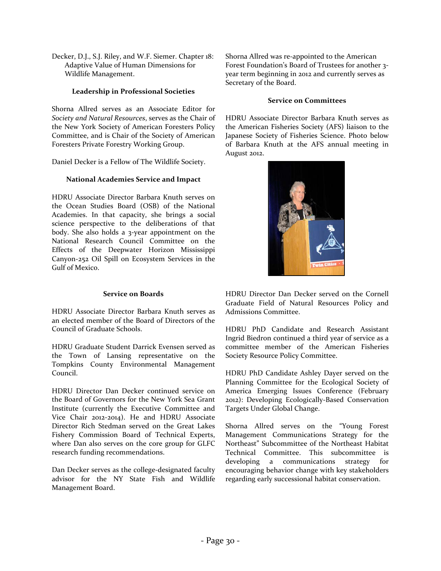Decker, D.J., S.J. Riley, and W.F. Siemer. Chapter 18: Adaptive Value of Human Dimensions for Wildlife Management.

#### **Leadership in Professional Societies**

Shorna Allred serves as an Associate Editor for *Society and Natural Resources*, serves as the Chair of the New York Society of American Foresters Policy Committee, and is Chair of the Society of American Foresters Private Forestry Working Group.

Daniel Decker is a Fellow of The Wildlife Society.

#### **National Academies Service and Impact**

HDRU Associate Director Barbara Knuth serves on the Ocean Studies Board (OSB) of the National Academies. In that capacity, she brings a social science perspective to the deliberations of that body. She also holds a 3-year appointment on the National Research Council Committee on the Effects of the Deepwater Horizon Mississippi Canyon-252 Oil Spill on Ecosystem Services in the Gulf of Mexico.

#### **Service on Boards**

HDRU Associate Director Barbara Knuth serves as an elected member of the Board of Directors of the Council of Graduate Schools.

HDRU Graduate Student Darrick Evensen served as the Town of Lansing representative on the Tompkins County Environmental Management Council.

HDRU Director Dan Decker continued service on the Board of Governors for the New York Sea Grant Institute (currently the Executive Committee and Vice Chair 2012-2014). He and HDRU Associate Director Rich Stedman served on the Great Lakes Fishery Commission Board of Technical Experts, where Dan also serves on the core group for GLFC research funding recommendations.

Dan Decker serves as the college-designated faculty advisor for the NY State Fish and Wildlife Management Board.

Shorna Allred was re-appointed to the American Forest Foundation's Board of Trustees for another 3 year term beginning in 2012 and currently serves as Secretary of the Board.

#### **Service on Committees**

HDRU Associate Director Barbara Knuth serves as the American Fisheries Society (AFS) liaison to the Japanese Society of Fisheries Science. Photo below of Barbara Knuth at the AFS annual meeting in August 2012.



HDRU Director Dan Decker served on the Cornell Graduate Field of Natural Resources Policy and Admissions Committee.

HDRU PhD Candidate and Research Assistant Ingrid Biedron continued a third year of service as a committee member of the American Fisheries Society Resource Policy Committee.

HDRU PhD Candidate Ashley Dayer served on the Planning Committee for the Ecological Society of America Emerging Issues Conference (February 2012): Developing Ecologically-Based Conservation Targets Under Global Change.

Shorna Allred serves on the "Young Forest Management Communications Strategy for the Northeast" Subcommittee of the Northeast Habitat Technical Committee. This subcommittee is developing a communications strategy for encouraging behavior change with key stakeholders regarding early successional habitat conservation.